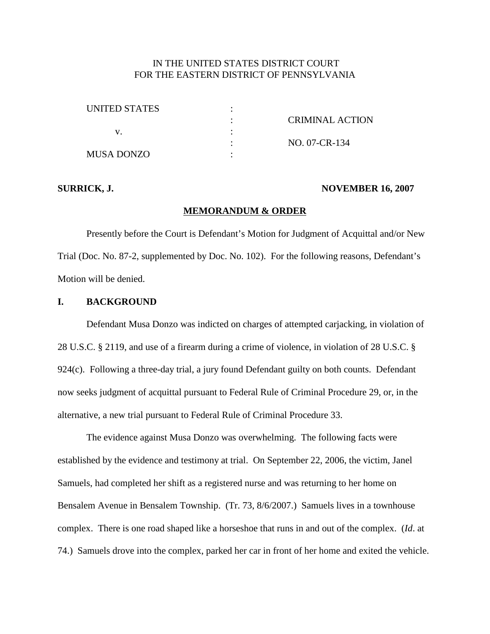## IN THE UNITED STATES DISTRICT COURT FOR THE EASTERN DISTRICT OF PENNSYLVANIA

| UNITED STATES |                 |
|---------------|-----------------|
|               | CRIMINAL ACTION |
|               |                 |
|               | NO. 07-CR-134   |
| MUSA DONZO    |                 |

#### **SURRICK, J. NOVEMBER 16, 2007**

#### **MEMORANDUM & ORDER**

Presently before the Court is Defendant's Motion for Judgment of Acquittal and/or New Trial (Doc. No. 87-2, supplemented by Doc. No. 102). For the following reasons, Defendant's Motion will be denied.

## **I. BACKGROUND**

Defendant Musa Donzo was indicted on charges of attempted carjacking, in violation of 28 U.S.C. § 2119, and use of a firearm during a crime of violence, in violation of 28 U.S.C. § 924(c). Following a three-day trial, a jury found Defendant guilty on both counts. Defendant now seeks judgment of acquittal pursuant to Federal Rule of Criminal Procedure 29, or, in the alternative, a new trial pursuant to Federal Rule of Criminal Procedure 33.

The evidence against Musa Donzo was overwhelming. The following facts were established by the evidence and testimony at trial. On September 22, 2006, the victim, Janel Samuels, had completed her shift as a registered nurse and was returning to her home on Bensalem Avenue in Bensalem Township. (Tr. 73, 8/6/2007.) Samuels lives in a townhouse complex. There is one road shaped like a horseshoe that runs in and out of the complex. (*Id*. at 74.) Samuels drove into the complex, parked her car in front of her home and exited the vehicle.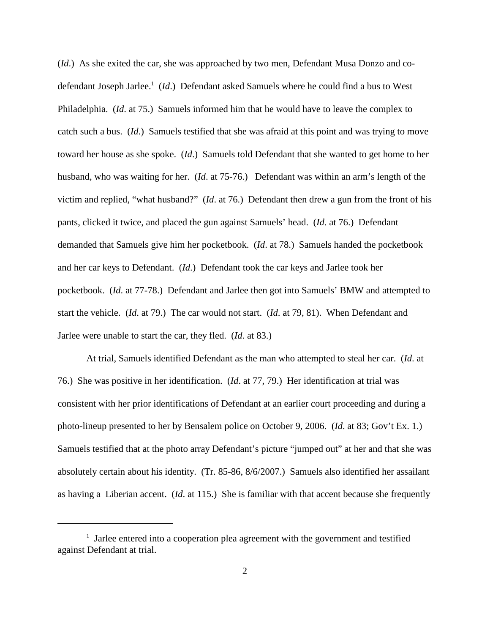(*Id*.) As she exited the car, she was approached by two men, Defendant Musa Donzo and codefendant Joseph Jarlee. <sup>1</sup> (*Id*.) Defendant asked Samuels where he could find a bus to West Philadelphia. (*Id*. at 75.) Samuels informed him that he would have to leave the complex to catch such a bus. (*Id*.) Samuels testified that she was afraid at this point and was trying to move toward her house as she spoke. (*Id*.) Samuels told Defendant that she wanted to get home to her husband, who was waiting for her. (*Id*. at 75-76.) Defendant was within an arm's length of the victim and replied, "what husband?" (*Id*. at 76.) Defendant then drew a gun from the front of his pants, clicked it twice, and placed the gun against Samuels' head. (*Id*. at 76.) Defendant demanded that Samuels give him her pocketbook. (*Id*. at 78.) Samuels handed the pocketbook and her car keys to Defendant. (*Id*.) Defendant took the car keys and Jarlee took her pocketbook. (*Id*. at 77-78.) Defendant and Jarlee then got into Samuels' BMW and attempted to start the vehicle. (*Id*. at 79.) The car would not start. (*Id*. at 79, 81). When Defendant and Jarlee were unable to start the car, they fled. (*Id*. at 83.)

At trial, Samuels identified Defendant as the man who attempted to steal her car. (*Id*. at 76.) She was positive in her identification. (*Id*. at 77, 79.) Her identification at trial was consistent with her prior identifications of Defendant at an earlier court proceeding and during a photo-lineup presented to her by Bensalem police on October 9, 2006. (*Id*. at 83; Gov't Ex. 1.) Samuels testified that at the photo array Defendant's picture "jumped out" at her and that she was absolutely certain about his identity. (Tr. 85-86, 8/6/2007.) Samuels also identified her assailant as having a Liberian accent. (*Id*. at 115.) She is familiar with that accent because she frequently

 $1$  Jarlee entered into a cooperation plea agreement with the government and testified against Defendant at trial.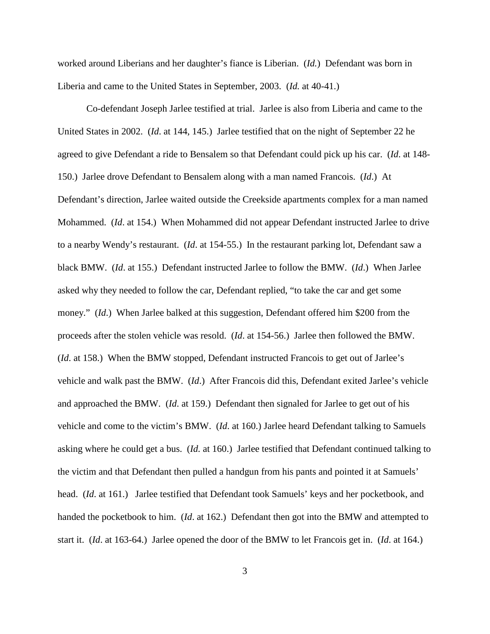worked around Liberians and her daughter's fiance is Liberian. (*Id.*) Defendant was born in Liberia and came to the United States in September, 2003. (*Id.* at 40-41.)

Co-defendant Joseph Jarlee testified at trial. Jarlee is also from Liberia and came to the United States in 2002. (*Id*. at 144, 145.) Jarlee testified that on the night of September 22 he agreed to give Defendant a ride to Bensalem so that Defendant could pick up his car. (*Id*. at 148- 150.) Jarlee drove Defendant to Bensalem along with a man named Francois. (*Id*.) At Defendant's direction, Jarlee waited outside the Creekside apartments complex for a man named Mohammed. (*Id*. at 154.) When Mohammed did not appear Defendant instructed Jarlee to drive to a nearby Wendy's restaurant. (*Id*. at 154-55.) In the restaurant parking lot, Defendant saw a black BMW. (*Id*. at 155.) Defendant instructed Jarlee to follow the BMW. (*Id*.) When Jarlee asked why they needed to follow the car, Defendant replied, "to take the car and get some money." (*Id*.) When Jarlee balked at this suggestion, Defendant offered him \$200 from the proceeds after the stolen vehicle was resold. (*Id*. at 154-56.) Jarlee then followed the BMW. (*Id*. at 158.) When the BMW stopped, Defendant instructed Francois to get out of Jarlee's vehicle and walk past the BMW. (*Id*.) After Francois did this, Defendant exited Jarlee's vehicle and approached the BMW. (*Id*. at 159.) Defendant then signaled for Jarlee to get out of his vehicle and come to the victim's BMW. (*Id*. at 160.) Jarlee heard Defendant talking to Samuels asking where he could get a bus. (*Id.* at 160.) Jarlee testified that Defendant continued talking to the victim and that Defendant then pulled a handgun from his pants and pointed it at Samuels' head. (*Id*. at 161.) Jarlee testified that Defendant took Samuels' keys and her pocketbook, and handed the pocketbook to him. (*Id*. at 162.) Defendant then got into the BMW and attempted to start it. (*Id*. at 163-64.) Jarlee opened the door of the BMW to let Francois get in. (*Id*. at 164.)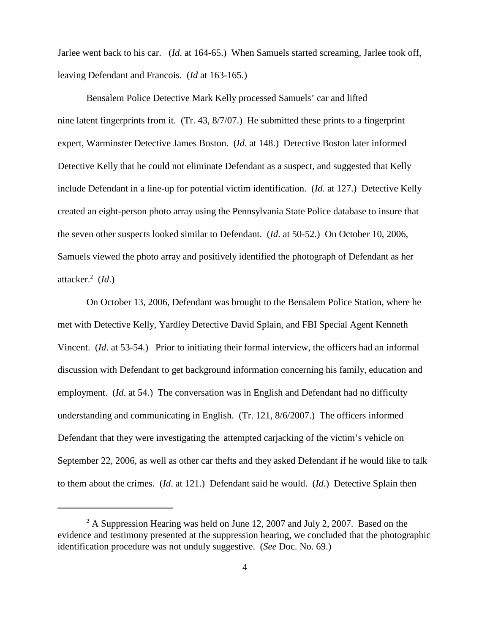Jarlee went back to his car. (*Id*. at 164-65.) When Samuels started screaming, Jarlee took off, leaving Defendant and Francois. (*Id* at 163-165.)

Bensalem Police Detective Mark Kelly processed Samuels' car and lifted nine latent fingerprints from it. (Tr. 43, 8/7/07.) He submitted these prints to a fingerprint expert, Warminster Detective James Boston. (*Id*. at 148.) Detective Boston later informed Detective Kelly that he could not eliminate Defendant as a suspect, and suggested that Kelly include Defendant in a line-up for potential victim identification. (*Id*. at 127.) Detective Kelly created an eight-person photo array using the Pennsylvania State Police database to insure that the seven other suspects looked similar to Defendant. (*Id*. at 50-52.) On October 10, 2006, Samuels viewed the photo array and positively identified the photograph of Defendant as her attacker. <sup>2</sup> (*Id*.)

On October 13, 2006, Defendant was brought to the Bensalem Police Station, where he met with Detective Kelly, Yardley Detective David Splain, and FBI Special Agent Kenneth Vincent. (*Id*. at 53-54.) Prior to initiating their formal interview, the officers had an informal discussion with Defendant to get background information concerning his family, education and employment. *(Id. at 54.)* The conversation was in English and Defendant had no difficulty understanding and communicating in English. (Tr. 121, 8/6/2007.) The officers informed Defendant that they were investigating the attempted carjacking of the victim's vehicle on September 22, 2006, as well as other car thefts and they asked Defendant if he would like to talk to them about the crimes. (*Id*. at 121.) Defendant said he would. (*Id*.) Detective Splain then

 $^{2}$  A Suppression Hearing was held on June 12, 2007 and July 2, 2007. Based on the evidence and testimony presented at the suppression hearing, we concluded that the photographic identification procedure was not unduly suggestive. (*See* Doc. No. 69.)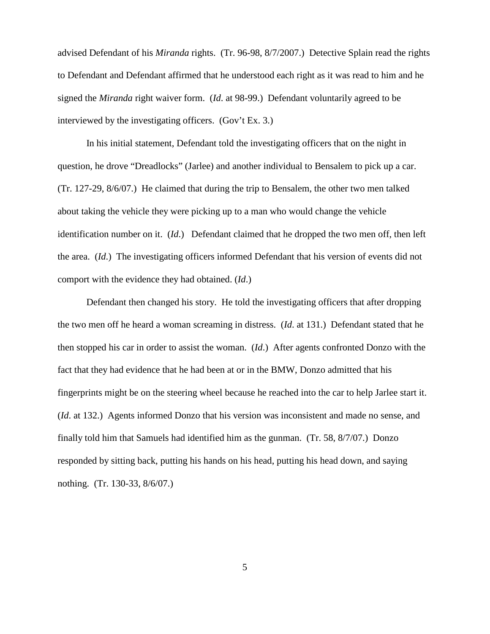advised Defendant of his *Miranda* rights. (Tr. 96-98, 8/7/2007.) Detective Splain read the rights to Defendant and Defendant affirmed that he understood each right as it was read to him and he signed the *Miranda* right waiver form. (*Id*. at 98-99.) Defendant voluntarily agreed to be interviewed by the investigating officers. (Gov't Ex. 3.)

In his initial statement, Defendant told the investigating officers that on the night in question, he drove "Dreadlocks" (Jarlee) and another individual to Bensalem to pick up a car. (Tr. 127-29, 8/6/07.) He claimed that during the trip to Bensalem, the other two men talked about taking the vehicle they were picking up to a man who would change the vehicle identification number on it. (*Id*.) Defendant claimed that he dropped the two men off, then left the area. (*Id*.) The investigating officers informed Defendant that his version of events did not comport with the evidence they had obtained. (*Id*.)

Defendant then changed his story. He told the investigating officers that after dropping the two men off he heard a woman screaming in distress. (*Id*. at 131.) Defendant stated that he then stopped his car in order to assist the woman. (*Id*.) After agents confronted Donzo with the fact that they had evidence that he had been at or in the BMW, Donzo admitted that his fingerprints might be on the steering wheel because he reached into the car to help Jarlee start it. (*Id*. at 132.) Agents informed Donzo that his version was inconsistent and made no sense, and finally told him that Samuels had identified him as the gunman. (Tr. 58, 8/7/07.) Donzo responded by sitting back, putting his hands on his head, putting his head down, and saying nothing. (Tr. 130-33, 8/6/07.)

5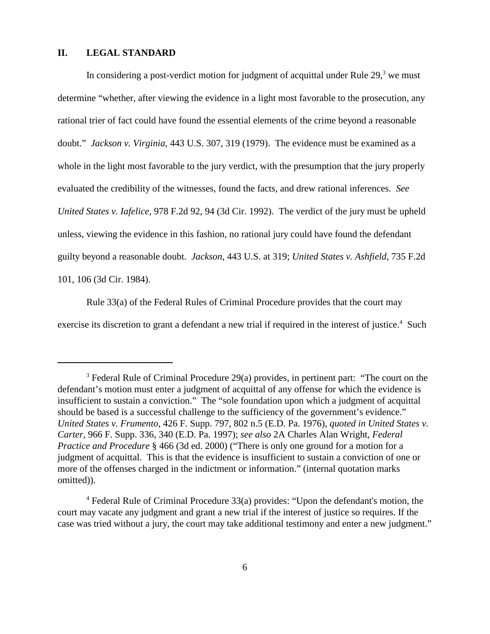## **II. LEGAL STANDARD**

In considering a post-verdict motion for judgment of acquittal under Rule 29,<sup>3</sup> we must determine "whether, after viewing the evidence in a light most favorable to the prosecution, any rational trier of fact could have found the essential elements of the crime beyond a reasonable doubt." *Jackson v. Virginia*, 443 U.S. 307, 319 (1979). The evidence must be examined as a whole in the light most favorable to the jury verdict, with the presumption that the jury properly evaluated the credibility of the witnesses, found the facts, and drew rational inferences. *See United States v. Iafelice*, 978 F.2d 92, 94 (3d Cir. 1992). The verdict of the jury must be upheld unless, viewing the evidence in this fashion, no rational jury could have found the defendant guilty beyond a reasonable doubt. *Jackson*, 443 U.S. at 319; *United States v. Ashfield*, 735 F.2d 101, 106 (3d Cir. 1984).

Rule 33(a) of the Federal Rules of Criminal Procedure provides that the court may exercise its discretion to grant a defendant a new trial if required in the interest of justice.<sup>4</sup> Such

<sup>&</sup>lt;sup>3</sup> Federal Rule of Criminal Procedure 29(a) provides, in pertinent part: "The court on the defendant's motion must enter a judgment of acquittal of any offense for which the evidence is insufficient to sustain a conviction." The "sole foundation upon which a judgment of acquittal should be based is a successful challenge to the sufficiency of the government's evidence." *United States v. Frumento*, 426 F. Supp. 797, 802 n.5 (E.D. Pa. 1976), *quoted in United States v. Carter*, 966 F. Supp. 336, 340 (E.D. Pa. 1997); *see also* 2A Charles Alan Wright, *Federal Practice and Procedure* § 466 (3d ed. 2000) ("There is only one ground for a motion for a judgment of acquittal. This is that the evidence is insufficient to sustain a conviction of one or more of the offenses charged in the indictment or information." (internal quotation marks omitted)).

<sup>4</sup> Federal Rule of Criminal Procedure 33(a) provides: "Upon the defendant's motion, the court may vacate any judgment and grant a new trial if the interest of justice so requires. If the case was tried without a jury, the court may take additional testimony and enter a new judgment."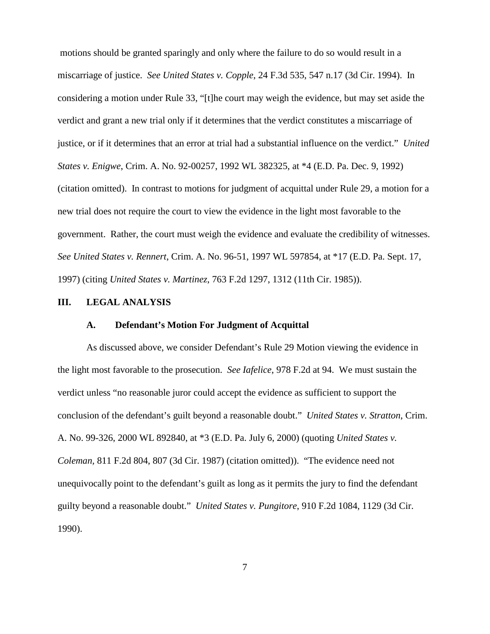motions should be granted sparingly and only where the failure to do so would result in a miscarriage of justice. *See United States v. Copple*, 24 F.3d 535, 547 n.17 (3d Cir. 1994). In considering a motion under Rule 33, "[t]he court may weigh the evidence, but may set aside the verdict and grant a new trial only if it determines that the verdict constitutes a miscarriage of justice, or if it determines that an error at trial had a substantial influence on the verdict." *United States v. Enigwe*, Crim. A. No. 92-00257, 1992 WL 382325, at \*4 (E.D. Pa. Dec. 9, 1992) (citation omitted). In contrast to motions for judgment of acquittal under Rule 29, a motion for a new trial does not require the court to view the evidence in the light most favorable to the government. Rather, the court must weigh the evidence and evaluate the credibility of witnesses. *See United States v. Rennert*, Crim. A. No. 96-51, 1997 WL 597854, at \*17 (E.D. Pa. Sept. 17, 1997) (citing *United States v. Martinez*, 763 F.2d 1297, 1312 (11th Cir. 1985)).

#### **III. LEGAL ANALYSIS**

#### **A. Defendant's Motion For Judgment of Acquittal**

As discussed above, we consider Defendant's Rule 29 Motion viewing the evidence in the light most favorable to the prosecution. *See Iafelice*, 978 F.2d at 94. We must sustain the verdict unless "no reasonable juror could accept the evidence as sufficient to support the conclusion of the defendant's guilt beyond a reasonable doubt." *United States v. Stratton*, Crim. A. No. 99-326, 2000 WL 892840, at \*3 (E.D. Pa. July 6, 2000) (quoting *United States v. Coleman,* 811 F.2d 804, 807 (3d Cir. 1987) (citation omitted)). "The evidence need not unequivocally point to the defendant's guilt as long as it permits the jury to find the defendant guilty beyond a reasonable doubt." *United States v. Pungitore*, 910 F.2d 1084, 1129 (3d Cir. 1990).

7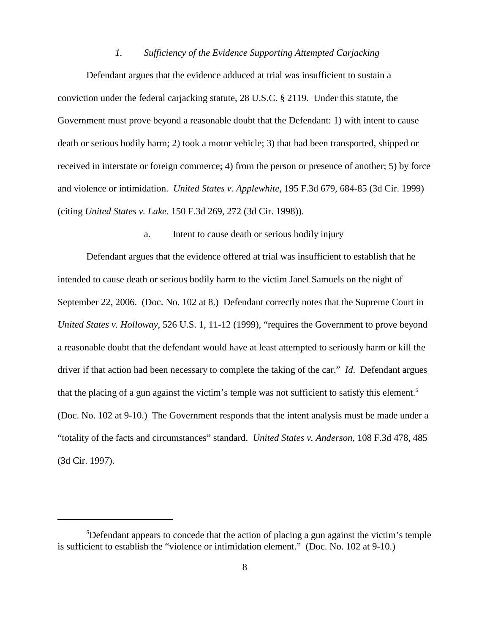#### *1. Sufficiency of the Evidence Supporting Attempted Carjacking*

Defendant argues that the evidence adduced at trial was insufficient to sustain a conviction under the federal carjacking statute, 28 U.S.C. § 2119. Under this statute, the Government must prove beyond a reasonable doubt that the Defendant: 1) with intent to cause death or serious bodily harm; 2) took a motor vehicle; 3) that had been transported, shipped or received in interstate or foreign commerce; 4) from the person or presence of another; 5) by force and violence or intimidation. *United States v. Applewhite*, 195 F.3d 679, 684-85 (3d Cir. 1999) (citing *United States v. Lake*. 150 F.3d 269, 272 (3d Cir. 1998)).

#### a. Intent to cause death or serious bodily injury

Defendant argues that the evidence offered at trial was insufficient to establish that he intended to cause death or serious bodily harm to the victim Janel Samuels on the night of September 22, 2006. (Doc. No. 102 at 8.) Defendant correctly notes that the Supreme Court in *United States v. Holloway*, 526 U.S. 1, 11-12 (1999), "requires the Government to prove beyond a reasonable doubt that the defendant would have at least attempted to seriously harm or kill the driver if that action had been necessary to complete the taking of the car." *Id*. Defendant argues that the placing of a gun against the victim's temple was not sufficient to satisfy this element.<sup>5</sup> (Doc. No. 102 at 9-10.) The Government responds that the intent analysis must be made under a "totality of the facts and circumstances" standard. *United States v. Anderson*, 108 F.3d 478, 485 (3d Cir. 1997).

<sup>&</sup>lt;sup>5</sup>Defendant appears to concede that the action of placing a gun against the victim's temple is sufficient to establish the "violence or intimidation element." (Doc. No. 102 at 9-10.)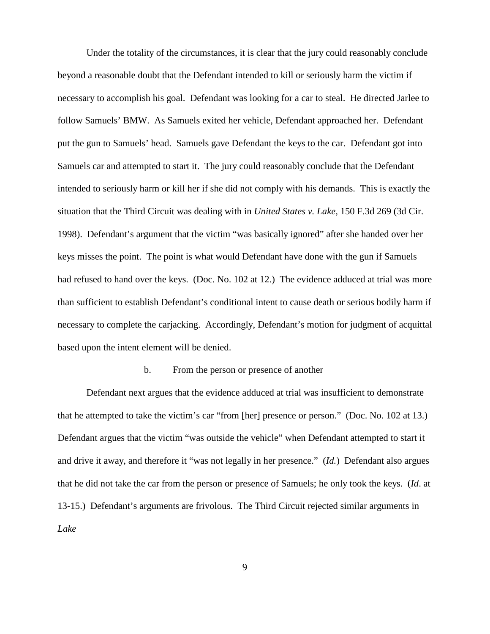Under the totality of the circumstances, it is clear that the jury could reasonably conclude beyond a reasonable doubt that the Defendant intended to kill or seriously harm the victim if necessary to accomplish his goal. Defendant was looking for a car to steal. He directed Jarlee to follow Samuels' BMW. As Samuels exited her vehicle, Defendant approached her. Defendant put the gun to Samuels' head. Samuels gave Defendant the keys to the car. Defendant got into Samuels car and attempted to start it. The jury could reasonably conclude that the Defendant intended to seriously harm or kill her if she did not comply with his demands. This is exactly the situation that the Third Circuit was dealing with in *United States v. Lake*, 150 F.3d 269 (3d Cir. 1998). Defendant's argument that the victim "was basically ignored" after she handed over her keys misses the point. The point is what would Defendant have done with the gun if Samuels had refused to hand over the keys. (Doc. No. 102 at 12.) The evidence adduced at trial was more than sufficient to establish Defendant's conditional intent to cause death or serious bodily harm if necessary to complete the carjacking. Accordingly, Defendant's motion for judgment of acquittal based upon the intent element will be denied.

#### b. From the person or presence of another

Defendant next argues that the evidence adduced at trial was insufficient to demonstrate that he attempted to take the victim's car "from [her] presence or person." (Doc. No. 102 at 13.) Defendant argues that the victim "was outside the vehicle" when Defendant attempted to start it and drive it away, and therefore it "was not legally in her presence." (*Id.*) Defendant also argues that he did not take the car from the person or presence of Samuels; he only took the keys. (*Id*. at 13-15.) Defendant's arguments are frivolous. The Third Circuit rejected similar arguments in *Lake*

9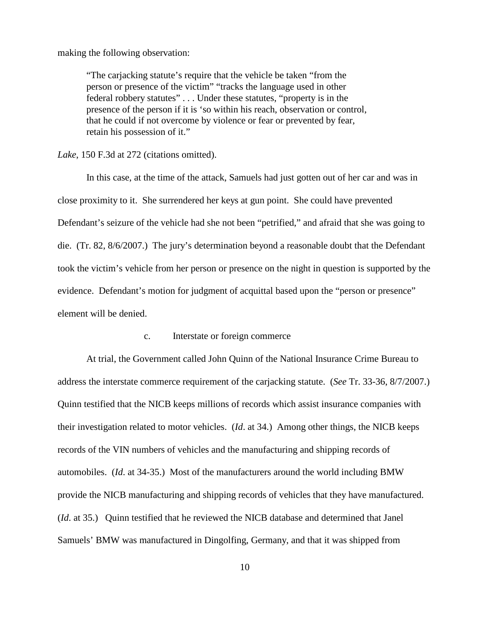making the following observation:

"The carjacking statute's require that the vehicle be taken "from the person or presence of the victim" "tracks the language used in other federal robbery statutes" . . . Under these statutes, "property is in the presence of the person if it is 'so within his reach, observation or control, that he could if not overcome by violence or fear or prevented by fear, retain his possession of it."

*Lake*, 150 F.3d at 272 (citations omitted).

In this case, at the time of the attack, Samuels had just gotten out of her car and was in close proximity to it. She surrendered her keys at gun point. She could have prevented Defendant's seizure of the vehicle had she not been "petrified," and afraid that she was going to die. (Tr. 82, 8/6/2007.) The jury's determination beyond a reasonable doubt that the Defendant took the victim's vehicle from her person or presence on the night in question is supported by the evidence. Defendant's motion for judgment of acquittal based upon the "person or presence" element will be denied.

## c. Interstate or foreign commerce

At trial, the Government called John Quinn of the National Insurance Crime Bureau to address the interstate commerce requirement of the carjacking statute. (*See* Tr. 33-36, 8/7/2007.) Quinn testified that the NICB keeps millions of records which assist insurance companies with their investigation related to motor vehicles. (*Id*. at 34.) Among other things, the NICB keeps records of the VIN numbers of vehicles and the manufacturing and shipping records of automobiles. (*Id*. at 34-35.) Most of the manufacturers around the world including BMW provide the NICB manufacturing and shipping records of vehicles that they have manufactured. (*Id*. at 35.) Quinn testified that he reviewed the NICB database and determined that Janel Samuels' BMW was manufactured in Dingolfing, Germany, and that it was shipped from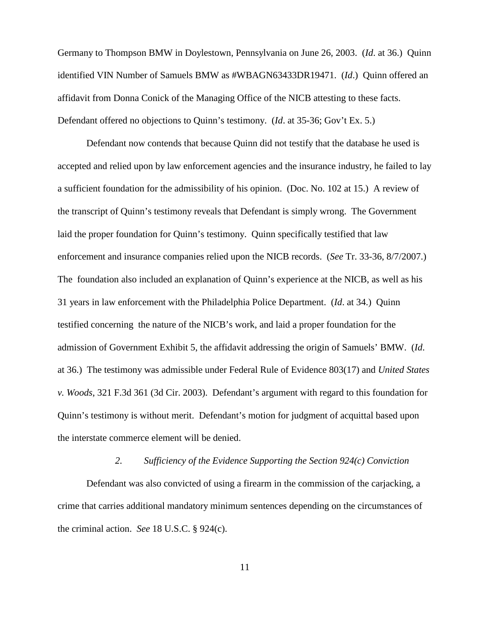Germany to Thompson BMW in Doylestown, Pennsylvania on June 26, 2003. (*Id*. at 36.) Quinn identified VIN Number of Samuels BMW as #WBAGN63433DR19471. (*Id*.) Quinn offered an affidavit from Donna Conick of the Managing Office of the NICB attesting to these facts. Defendant offered no objections to Quinn's testimony. (*Id*. at 35-36; Gov't Ex. 5.)

Defendant now contends that because Quinn did not testify that the database he used is accepted and relied upon by law enforcement agencies and the insurance industry, he failed to lay a sufficient foundation for the admissibility of his opinion. (Doc. No. 102 at 15.) A review of the transcript of Quinn's testimony reveals that Defendant is simply wrong. The Government laid the proper foundation for Quinn's testimony. Quinn specifically testified that law enforcement and insurance companies relied upon the NICB records. (*See* Tr. 33-36, 8/7/2007.) The foundation also included an explanation of Quinn's experience at the NICB, as well as his 31 years in law enforcement with the Philadelphia Police Department. (*Id*. at 34.) Quinn testified concerning the nature of the NICB's work, and laid a proper foundation for the admission of Government Exhibit 5, the affidavit addressing the origin of Samuels' BMW. (*Id*. at 36.) The testimony was admissible under Federal Rule of Evidence 803(17) and *United States v. Woods*, 321 F.3d 361 (3d Cir. 2003). Defendant's argument with regard to this foundation for Quinn's testimony is without merit. Defendant's motion for judgment of acquittal based upon the interstate commerce element will be denied.

# *2. Sufficiency of the Evidence Supporting the Section 924(c) Conviction*

Defendant was also convicted of using a firearm in the commission of the carjacking, a crime that carries additional mandatory minimum sentences depending on the circumstances of the criminal action. *See* 18 U.S.C. § 924(c).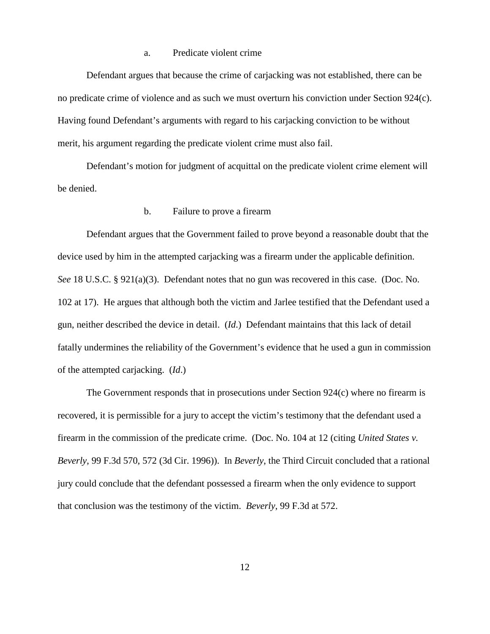## a. Predicate violent crime

Defendant argues that because the crime of carjacking was not established, there can be no predicate crime of violence and as such we must overturn his conviction under Section 924(c). Having found Defendant's arguments with regard to his carjacking conviction to be without merit, his argument regarding the predicate violent crime must also fail.

Defendant's motion for judgment of acquittal on the predicate violent crime element will be denied.

## b. Failure to prove a firearm

Defendant argues that the Government failed to prove beyond a reasonable doubt that the device used by him in the attempted carjacking was a firearm under the applicable definition. *See* 18 U.S.C. § 921(a)(3). Defendant notes that no gun was recovered in this case. (Doc. No. 102 at 17). He argues that although both the victim and Jarlee testified that the Defendant used a gun, neither described the device in detail. (*Id*.) Defendant maintains that this lack of detail fatally undermines the reliability of the Government's evidence that he used a gun in commission of the attempted carjacking. (*Id*.)

The Government responds that in prosecutions under Section 924(c) where no firearm is recovered, it is permissible for a jury to accept the victim's testimony that the defendant used a firearm in the commission of the predicate crime. (Doc. No. 104 at 12 (citing *United States v. Beverly*, 99 F.3d 570, 572 (3d Cir. 1996)). In *Beverly*, the Third Circuit concluded that a rational jury could conclude that the defendant possessed a firearm when the only evidence to support that conclusion was the testimony of the victim. *Beverly*, 99 F.3d at 572.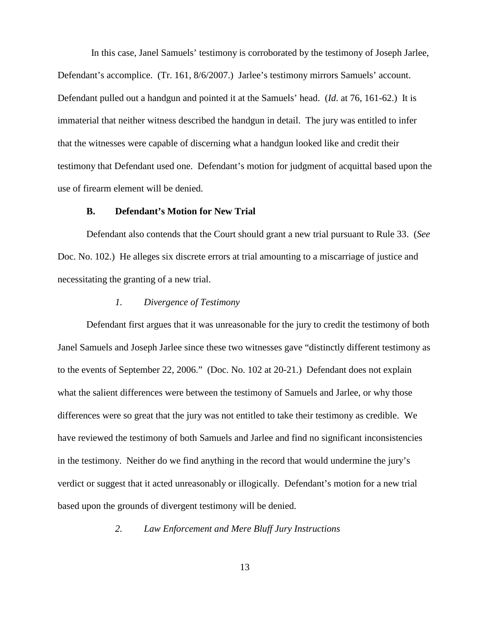In this case, Janel Samuels' testimony is corroborated by the testimony of Joseph Jarlee, Defendant's accomplice. (Tr. 161, 8/6/2007.) Jarlee's testimony mirrors Samuels' account. Defendant pulled out a handgun and pointed it at the Samuels' head. (*Id*. at 76, 161-62.) It is immaterial that neither witness described the handgun in detail. The jury was entitled to infer that the witnesses were capable of discerning what a handgun looked like and credit their testimony that Defendant used one. Defendant's motion for judgment of acquittal based upon the use of firearm element will be denied.

## **B. Defendant's Motion for New Trial**

Defendant also contends that the Court should grant a new trial pursuant to Rule 33. (*See* Doc. No. 102.) He alleges six discrete errors at trial amounting to a miscarriage of justice and necessitating the granting of a new trial.

#### *1. Divergence of Testimony*

Defendant first argues that it was unreasonable for the jury to credit the testimony of both Janel Samuels and Joseph Jarlee since these two witnesses gave "distinctly different testimony as to the events of September 22, 2006." (Doc. No. 102 at 20-21.) Defendant does not explain what the salient differences were between the testimony of Samuels and Jarlee, or why those differences were so great that the jury was not entitled to take their testimony as credible. We have reviewed the testimony of both Samuels and Jarlee and find no significant inconsistencies in the testimony. Neither do we find anything in the record that would undermine the jury's verdict or suggest that it acted unreasonably or illogically. Defendant's motion for a new trial based upon the grounds of divergent testimony will be denied.

*2. Law Enforcement and Mere Bluff Jury Instructions*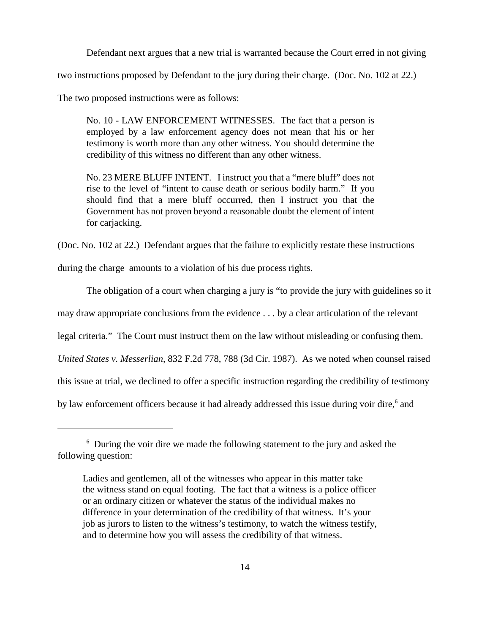Defendant next argues that a new trial is warranted because the Court erred in not giving

two instructions proposed by Defendant to the jury during their charge. (Doc. No. 102 at 22.)

The two proposed instructions were as follows:

No. 10 - LAW ENFORCEMENT WITNESSES. The fact that a person is employed by a law enforcement agency does not mean that his or her testimony is worth more than any other witness. You should determine the credibility of this witness no different than any other witness.

No. 23 MERE BLUFF INTENT. I instruct you that a "mere bluff" does not rise to the level of "intent to cause death or serious bodily harm." If you should find that a mere bluff occurred, then I instruct you that the Government has not proven beyond a reasonable doubt the element of intent for carjacking.

(Doc. No. 102 at 22.) Defendant argues that the failure to explicitly restate these instructions

during the charge amounts to a violation of his due process rights.

The obligation of a court when charging a jury is "to provide the jury with guidelines so it

may draw appropriate conclusions from the evidence . . . by a clear articulation of the relevant

legal criteria." The Court must instruct them on the law without misleading or confusing them.

*United States v. Messerlian*, 832 F.2d 778, 788 (3d Cir. 1987). As we noted when counsel raised

this issue at trial, we declined to offer a specific instruction regarding the credibility of testimony

by law enforcement officers because it had already addressed this issue during voir dire,<sup>6</sup> and

<sup>&</sup>lt;sup>6</sup> During the voir dire we made the following statement to the jury and asked the following question:

Ladies and gentlemen, all of the witnesses who appear in this matter take the witness stand on equal footing. The fact that a witness is a police officer or an ordinary citizen or whatever the status of the individual makes no difference in your determination of the credibility of that witness. It's your job as jurors to listen to the witness's testimony, to watch the witness testify, and to determine how you will assess the credibility of that witness.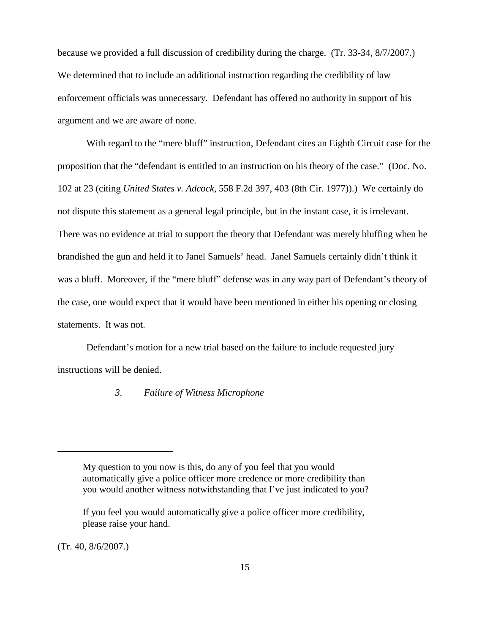because we provided a full discussion of credibility during the charge. (Tr. 33-34, 8/7/2007.) We determined that to include an additional instruction regarding the credibility of law enforcement officials was unnecessary. Defendant has offered no authority in support of his argument and we are aware of none.

With regard to the "mere bluff" instruction, Defendant cites an Eighth Circuit case for the proposition that the "defendant is entitled to an instruction on his theory of the case." (Doc. No. 102 at 23 (citing *United States v. Adcock*, 558 F.2d 397, 403 (8th Cir. 1977)).) We certainly do not dispute this statement as a general legal principle, but in the instant case, it is irrelevant. There was no evidence at trial to support the theory that Defendant was merely bluffing when he brandished the gun and held it to Janel Samuels' head. Janel Samuels certainly didn't think it was a bluff. Moreover, if the "mere bluff" defense was in any way part of Defendant's theory of the case, one would expect that it would have been mentioned in either his opening or closing statements. It was not.

Defendant's motion for a new trial based on the failure to include requested jury instructions will be denied.

## *3. Failure of Witness Microphone*

(Tr. 40, 8/6/2007.)

My question to you now is this, do any of you feel that you would automatically give a police officer more credence or more credibility than you would another witness notwithstanding that I've just indicated to you?

If you feel you would automatically give a police officer more credibility, please raise your hand.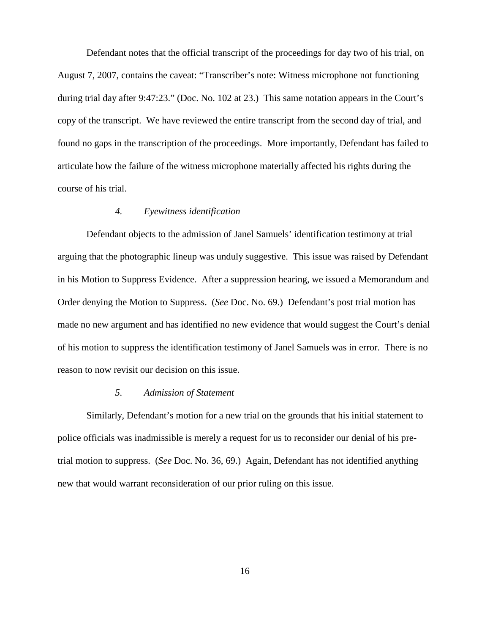Defendant notes that the official transcript of the proceedings for day two of his trial, on August 7, 2007, contains the caveat: "Transcriber's note: Witness microphone not functioning during trial day after 9:47:23." (Doc. No. 102 at 23.) This same notation appears in the Court's copy of the transcript. We have reviewed the entire transcript from the second day of trial, and found no gaps in the transcription of the proceedings. More importantly, Defendant has failed to articulate how the failure of the witness microphone materially affected his rights during the course of his trial.

#### *4. Eyewitness identification*

Defendant objects to the admission of Janel Samuels' identification testimony at trial arguing that the photographic lineup was unduly suggestive. This issue was raised by Defendant in his Motion to Suppress Evidence. After a suppression hearing, we issued a Memorandum and Order denying the Motion to Suppress. (*See* Doc. No. 69.) Defendant's post trial motion has made no new argument and has identified no new evidence that would suggest the Court's denial of his motion to suppress the identification testimony of Janel Samuels was in error. There is no reason to now revisit our decision on this issue.

#### *5. Admission of Statement*

Similarly, Defendant's motion for a new trial on the grounds that his initial statement to police officials was inadmissible is merely a request for us to reconsider our denial of his pretrial motion to suppress. (*See* Doc. No. 36, 69.) Again, Defendant has not identified anything new that would warrant reconsideration of our prior ruling on this issue.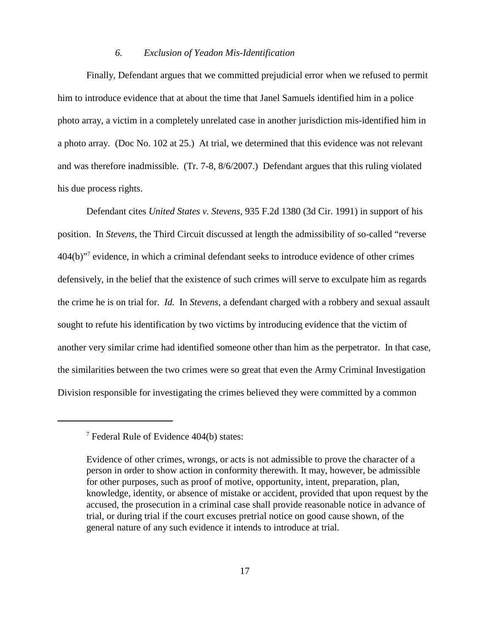#### *6. Exclusion of Yeadon Mis-Identification*

Finally, Defendant argues that we committed prejudicial error when we refused to permit him to introduce evidence that at about the time that Janel Samuels identified him in a police photo array, a victim in a completely unrelated case in another jurisdiction mis-identified him in a photo array. (Doc No. 102 at 25.) At trial, we determined that this evidence was not relevant and was therefore inadmissible. (Tr. 7-8, 8/6/2007.) Defendant argues that this ruling violated his due process rights.

Defendant cites *United States v. Stevens*, 935 F.2d 1380 (3d Cir. 1991) in support of his position. In *Stevens*, the Third Circuit discussed at length the admissibility of so-called "reverse 404(b)"7 evidence, in which a criminal defendant seeks to introduce evidence of other crimes defensively, in the belief that the existence of such crimes will serve to exculpate him as regards the crime he is on trial for. *Id.* In *Stevens*, a defendant charged with a robbery and sexual assault sought to refute his identification by two victims by introducing evidence that the victim of another very similar crime had identified someone other than him as the perpetrator. In that case, the similarities between the two crimes were so great that even the Army Criminal Investigation Division responsible for investigating the crimes believed they were committed by a common

 $7$  Federal Rule of Evidence 404(b) states:

Evidence of other crimes, wrongs, or acts is not admissible to prove the character of a person in order to show action in conformity therewith. It may, however, be admissible for other purposes, such as proof of motive, opportunity, intent, preparation, plan, knowledge, identity, or absence of mistake or accident, provided that upon request by the accused, the prosecution in a criminal case shall provide reasonable notice in advance of trial, or during trial if the court excuses pretrial notice on good cause shown, of the general nature of any such evidence it intends to introduce at trial.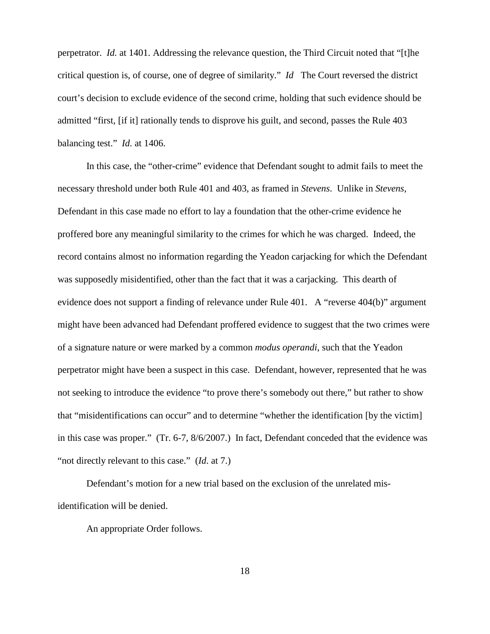perpetrator. *Id.* at 1401. Addressing the relevance question, the Third Circuit noted that "[t]he critical question is, of course, one of degree of similarity." *Id* The Court reversed the district court's decision to exclude evidence of the second crime, holding that such evidence should be admitted "first, [if it] rationally tends to disprove his guilt, and second, passes the Rule 403 balancing test." *Id.* at 1406.

In this case, the "other-crime" evidence that Defendant sought to admit fails to meet the necessary threshold under both Rule 401 and 403, as framed in *Stevens*. Unlike in *Stevens*, Defendant in this case made no effort to lay a foundation that the other-crime evidence he proffered bore any meaningful similarity to the crimes for which he was charged. Indeed, the record contains almost no information regarding the Yeadon carjacking for which the Defendant was supposedly misidentified, other than the fact that it was a carjacking. This dearth of evidence does not support a finding of relevance under Rule 401. A "reverse 404(b)" argument might have been advanced had Defendant proffered evidence to suggest that the two crimes were of a signature nature or were marked by a common *modus operandi*, such that the Yeadon perpetrator might have been a suspect in this case. Defendant, however, represented that he was not seeking to introduce the evidence "to prove there's somebody out there," but rather to show that "misidentifications can occur" and to determine "whether the identification [by the victim] in this case was proper." (Tr. 6-7, 8/6/2007.) In fact, Defendant conceded that the evidence was "not directly relevant to this case." (*Id.* at 7.)

Defendant's motion for a new trial based on the exclusion of the unrelated misidentification will be denied.

An appropriate Order follows.